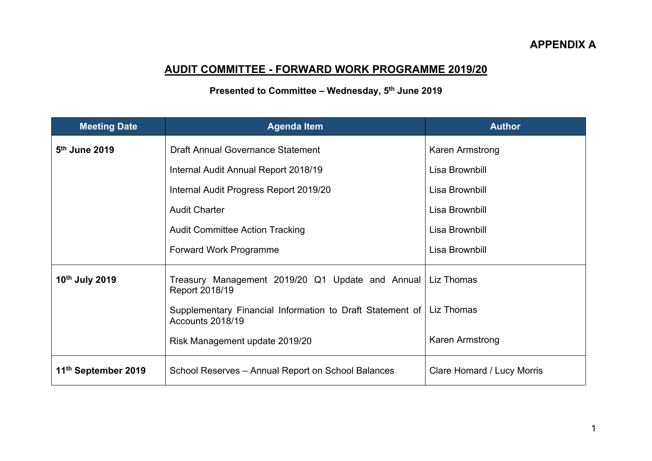## **AUDIT COMMITTEE - FORWARD WORK PROGRAMME 2019/20**

## **Presented to Committee – Wednesday, 5 th June 2019**

| <b>Meeting Date</b>             | <b>Agenda Item</b>                                                                         | <b>Author</b>              |
|---------------------------------|--------------------------------------------------------------------------------------------|----------------------------|
| 5th June 2019                   | <b>Draft Annual Governance Statement</b>                                                   | Karen Armstrong            |
|                                 | Internal Audit Annual Report 2018/19                                                       | Lisa Brownbill             |
|                                 | Internal Audit Progress Report 2019/20                                                     | Lisa Brownbill             |
|                                 | <b>Audit Charter</b>                                                                       | Lisa Brownbill             |
|                                 | <b>Audit Committee Action Tracking</b>                                                     | Lisa Brownbill             |
|                                 | Forward Work Programme                                                                     | Lisa Brownbill             |
| 10th July 2019                  | Treasury Management 2019/20 Q1 Update and Annual Liz Thomas<br>Report 2018/19              |                            |
|                                 | Supplementary Financial Information to Draft Statement of   Liz Thomas<br>Accounts 2018/19 |                            |
|                                 | Risk Management update 2019/20                                                             | Karen Armstrong            |
| 11 <sup>th</sup> September 2019 | School Reserves - Annual Report on School Balances                                         | Clare Homard / Lucy Morris |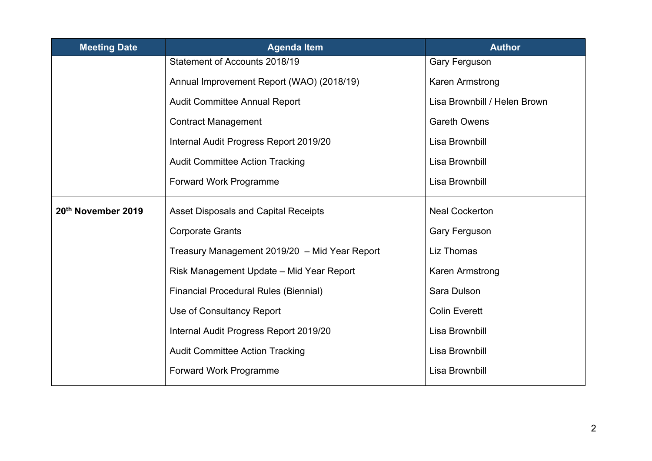| <b>Meeting Date</b> | <b>Agenda Item</b>                            | <b>Author</b>                |
|---------------------|-----------------------------------------------|------------------------------|
|                     | Statement of Accounts 2018/19                 | Gary Ferguson                |
|                     | Annual Improvement Report (WAO) (2018/19)     | Karen Armstrong              |
|                     | Audit Committee Annual Report                 | Lisa Brownbill / Helen Brown |
|                     | <b>Contract Management</b>                    | <b>Gareth Owens</b>          |
|                     | Internal Audit Progress Report 2019/20        | Lisa Brownbill               |
|                     | <b>Audit Committee Action Tracking</b>        | Lisa Brownbill               |
|                     | Forward Work Programme                        | Lisa Brownbill               |
| 20th November 2019  | <b>Asset Disposals and Capital Receipts</b>   | <b>Neal Cockerton</b>        |
|                     | <b>Corporate Grants</b>                       | Gary Ferguson                |
|                     | Treasury Management 2019/20 - Mid Year Report | Liz Thomas                   |
|                     | Risk Management Update – Mid Year Report      | Karen Armstrong              |
|                     | <b>Financial Procedural Rules (Biennial)</b>  | Sara Dulson                  |
|                     | Use of Consultancy Report                     | <b>Colin Everett</b>         |
|                     | Internal Audit Progress Report 2019/20        | Lisa Brownbill               |
|                     | <b>Audit Committee Action Tracking</b>        | Lisa Brownbill               |
|                     | Forward Work Programme                        | Lisa Brownbill               |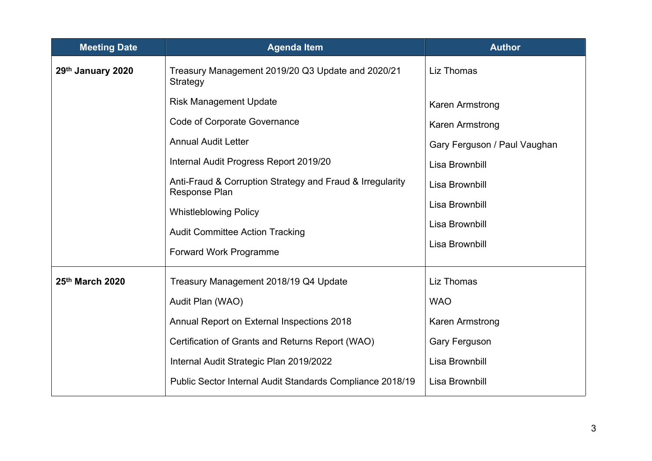| <b>Meeting Date</b> | <b>Agenda Item</b>                                                         | <b>Author</b>                |
|---------------------|----------------------------------------------------------------------------|------------------------------|
| 29th January 2020   | Treasury Management 2019/20 Q3 Update and 2020/21<br>Strategy              | Liz Thomas                   |
|                     | <b>Risk Management Update</b>                                              | Karen Armstrong              |
|                     | Code of Corporate Governance                                               | Karen Armstrong              |
|                     | <b>Annual Audit Letter</b>                                                 | Gary Ferguson / Paul Vaughan |
|                     | Internal Audit Progress Report 2019/20                                     | Lisa Brownbill               |
|                     | Anti-Fraud & Corruption Strategy and Fraud & Irregularity<br>Response Plan | Lisa Brownbill               |
|                     | <b>Whistleblowing Policy</b>                                               | Lisa Brownbill               |
|                     | <b>Audit Committee Action Tracking</b>                                     | Lisa Brownbill               |
|                     | Forward Work Programme                                                     | Lisa Brownbill               |
| 25th March 2020     | Treasury Management 2018/19 Q4 Update                                      | Liz Thomas                   |
|                     | Audit Plan (WAO)                                                           | <b>WAO</b>                   |
|                     | Annual Report on External Inspections 2018                                 | Karen Armstrong              |
|                     | Certification of Grants and Returns Report (WAO)                           | <b>Gary Ferguson</b>         |
|                     | Internal Audit Strategic Plan 2019/2022                                    | Lisa Brownbill               |
|                     | Public Sector Internal Audit Standards Compliance 2018/19                  | Lisa Brownbill               |